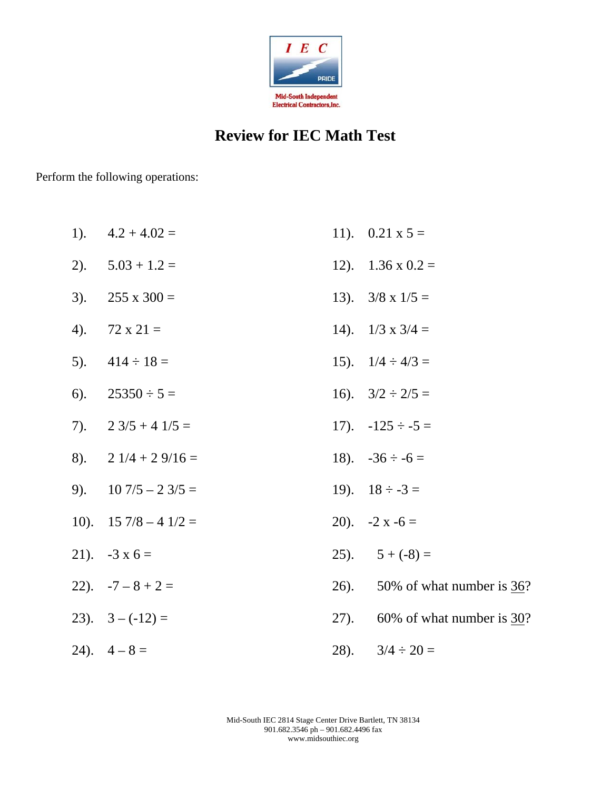

## **Review for IEC Math Test**

Perform the following operations:

| $1$ ). | $4.2 + 4.02 =$                         | 11). $0.21 \times 5 =$            |
|--------|----------------------------------------|-----------------------------------|
|        | 2). $5.03 + 1.2 =$                     | 12). $1.36 \times 0.2 =$          |
| 3).    | $255 \times 300 =$                     | 13). $3/8 \times 1/5 =$           |
| 4).    | $72 \times 21 =$                       | 14). $1/3 \times 3/4 =$           |
|        | 5). $414 \div 18 =$                    | 15). $1/4 \div 4/3 =$             |
| 6).    | $25350 \div 5 =$                       | 16). $3/2 \div 2/5 =$             |
|        | 7). $2 \frac{3}{5} + 4 \frac{1}{5} =$  | 17). $-125 \div -5 =$             |
|        | 8). $2 \frac{1}{4} + 2 \frac{9}{16} =$ | 18). $-36 \div -6 =$              |
|        | 9). $10\,7/5 - 2\,3/5 =$               | 19). $18 \div -3 =$               |
|        | 10). $15\ 7/8 - 4\ 1/2 =$              | 20). $-2x-6=$                     |
|        | 21). $-3x6=$                           | 25). $5 + (-8) =$                 |
|        | 22). $-7 - 8 + 2 =$                    | 26). 50% of what number is $36$ ? |
|        | 23). $3 - (-12) =$                     | 27). 60% of what number is $30$ ? |
|        | 24). $4-8=$                            | 28). $3/4 \div 20 =$              |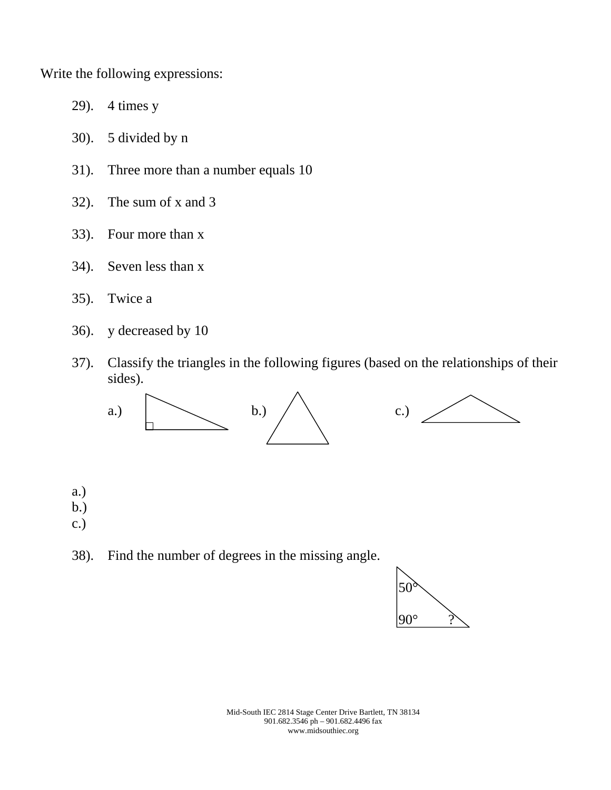Write the following expressions:

- 29). 4 times y
- 30). 5 divided by n
- 31). Three more than a number equals 10
- 32). The sum of x and 3
- 33). Four more than x
- 34). Seven less than x
- 35). Twice a
- 36). y decreased by 10
- 37). Classify the triangles in the following figures (based on the relationships of their sides).



- a.) b.)
- c.)
- 38). Find the number of degrees in the missing angle.

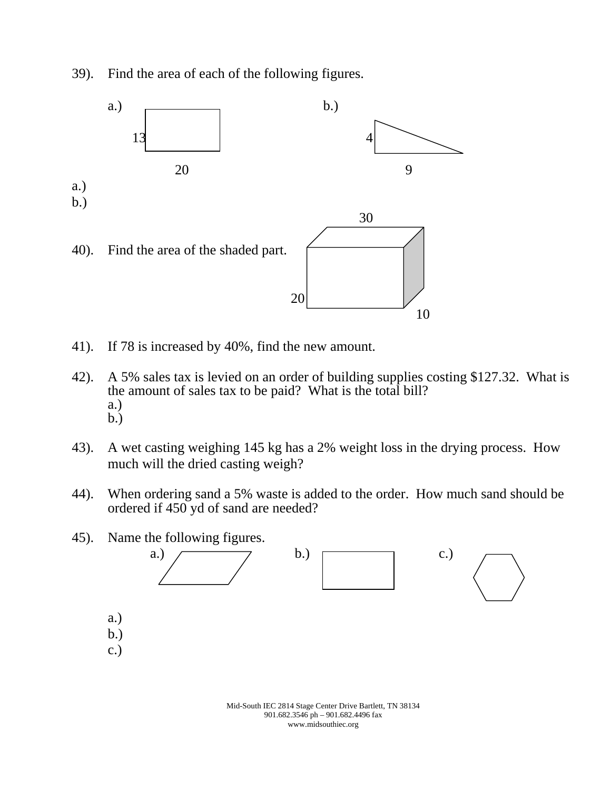39). Find the area of each of the following figures.



- 41). If 78 is increased by 40%, find the new amount.
- 42). A 5% sales tax is levied on an order of building supplies costing \$127.32. What is the amount of sales tax to be paid? What is the total bill? a.) b.)
- 43). A wet casting weighing 145 kg has a 2% weight loss in the drying process. How much will the dried casting weigh?
- 44). When ordering sand a 5% waste is added to the order. How much sand should be ordered if 450 yd of sand are needed?





Mid-South IEC 2814 Stage Center Drive Bartlett, TN 38134 901.682.3546 ph – 901.682.4496 fax www.midsouthiec.org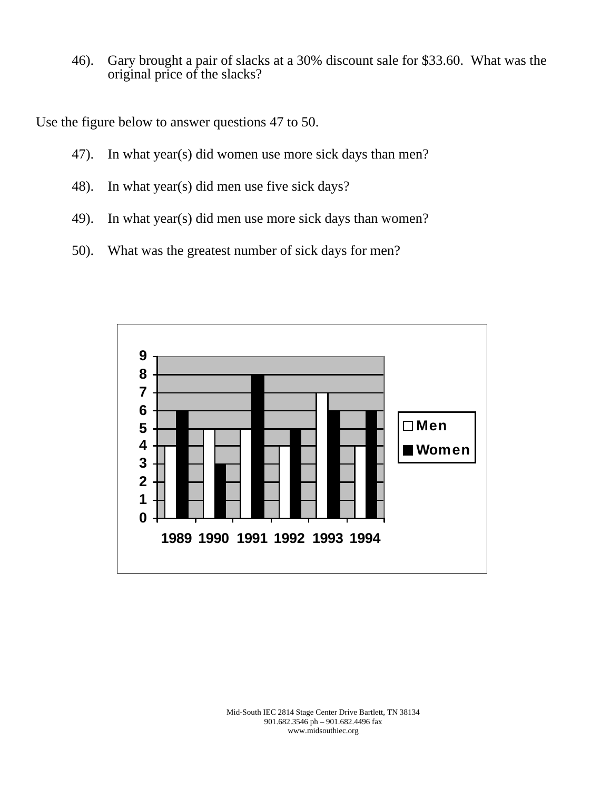46). Gary brought a pair of slacks at a 30% discount sale for \$33.60. What was the original price of the slacks?

Use the figure below to answer questions 47 to 50.

- 47). In what year(s) did women use more sick days than men?
- 48). In what year(s) did men use five sick days?
- 49). In what year(s) did men use more sick days than women?
- 50). What was the greatest number of sick days for men?